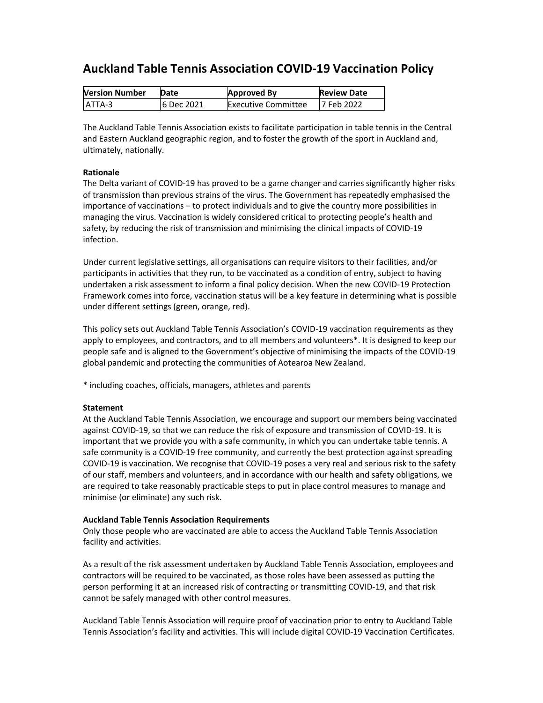# **Auckland Table Tennis Association COVID-19 Vaccination Policy**

| <b>Version Number</b> | Date        | <b>Approved By</b>         | <b>Review Date</b> |
|-----------------------|-------------|----------------------------|--------------------|
| LATTA-3               | 16 Dec 2021 | <b>Executive Committee</b> | 17 Feb 2022        |

The Auckland Table Tennis Association exists to facilitate participation in table tennis in the Central and Eastern Auckland geographic region, and to foster the growth of the sport in Auckland and, ultimately, nationally.

# **Rationale**

The Delta variant of COVID-19 has proved to be a game changer and carries significantly higher risks of transmission than previous strains of the virus. The Government has repeatedly emphasised the importance of vaccinations – to protect individuals and to give the country more possibilities in managing the virus. Vaccination is widely considered critical to protecting people's health and safety, by reducing the risk of transmission and minimising the clinical impacts of COVID-19 infection.

Under current legislative settings, all organisations can require visitors to their facilities, and/or participants in activities that they run, to be vaccinated as a condition of entry, subject to having undertaken a risk assessment to inform a final policy decision. When the new COVID-19 Protection Framework comes into force, vaccination status will be a key feature in determining what is possible under different settings (green, orange, red).

This policy sets out Auckland Table Tennis Association's COVID-19 vaccination requirements as they apply to employees, and contractors, and to all members and volunteers\*. It is designed to keep our people safe and is aligned to the Government's objective of minimising the impacts of the COVID-19 global pandemic and protecting the communities of Aotearoa New Zealand.

\* including coaches, officials, managers, athletes and parents

# **Statement**

At the Auckland Table Tennis Association, we encourage and support our members being vaccinated against COVID-19, so that we can reduce the risk of exposure and transmission of COVID-19. It is important that we provide you with a safe community, in which you can undertake table tennis. A safe community is a COVID-19 free community, and currently the best protection against spreading COVID-19 is vaccination. We recognise that COVID-19 poses a very real and serious risk to the safety of our staff, members and volunteers, and in accordance with our health and safety obligations, we are required to take reasonably practicable steps to put in place control measures to manage and minimise (or eliminate) any such risk.

# **Auckland Table Tennis Association Requirements**

Only those people who are vaccinated are able to access the Auckland Table Tennis Association facility and activities.

As a result of the risk assessment undertaken by Auckland Table Tennis Association, employees and contractors will be required to be vaccinated, as those roles have been assessed as putting the person performing it at an increased risk of contracting or transmitting COVID-19, and that risk cannot be safely managed with other control measures.

Auckland Table Tennis Association will require proof of vaccination prior to entry to Auckland Table Tennis Association's facility and activities. This will include digital COVID-19 Vaccination Certificates.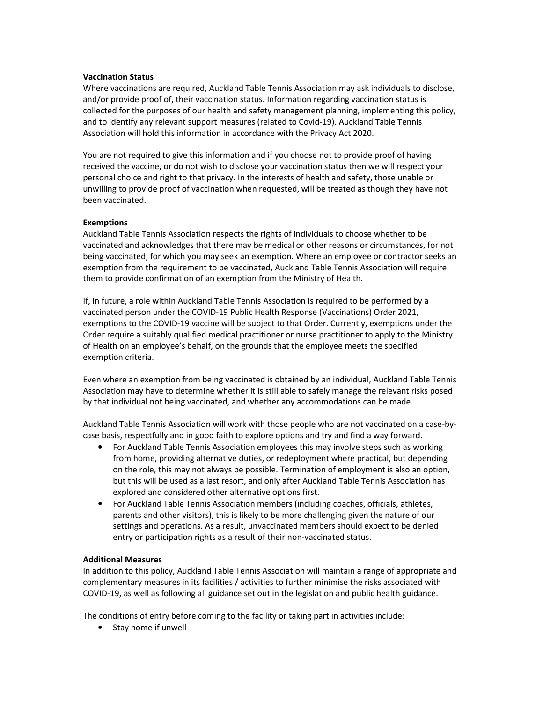#### **Vaccination Status**

Where vaccinations are required, Auckland Table Tennis Association may ask individuals to disclose, and/or provide proof of, their vaccination status. Information regarding vaccination status is collected for the purposes of our health and safety management planning, implementing this policy, and to identify any relevant support measures (related to Covid-19). Auckland Table Tennis Association will hold this information in accordance with the Privacy Act 2020.

You are not required to give this information and if you choose not to provide proof of having received the vaccine, or do not wish to disclose your vaccination status then we will respect your personal choice and right to that privacy. In the interests of health and safety, those unable or unwilling to provide proof of vaccination when requested, will be treated as though they have not been vaccinated.

#### **Exemptions**

Auckland Table Tennis Association respects the rights of individuals to choose whether to be vaccinated and acknowledges that there may be medical or other reasons or circumstances, for not being vaccinated, for which you may seek an exemption. Where an employee or contractor seeks an exemption from the requirement to be vaccinated, Auckland Table Tennis Association will require them to provide confirmation of an exemption from the Ministry of Health.

If, in future, a role within Auckland Table Tennis Association is required to be performed by a vaccinated person under the COVID-19 Public Health Response (Vaccinations) Order 2021, exemptions to the COVID-19 vaccine will be subject to that Order. Currently, exemptions under the Order require a suitably qualified medical practitioner or nurse practitioner to apply to the Ministry of Health on an employee's behalf, on the grounds that the employee meets the specified exemption criteria.

Even where an exemption from being vaccinated is obtained by an individual, Auckland Table Tennis Association may have to determine whether it is still able to safely manage the relevant risks posed by that individual not being vaccinated, and whether any accommodations can be made.

Auckland Table Tennis Association will work with those people who are not vaccinated on a case-bycase basis, respectfully and in good faith to explore options and try and find a way forward.

- For Auckland Table Tennis Association employees this may involve steps such as working from home, providing alternative duties, or redeployment where practical, but depending on the role, this may not always be possible. Termination of employment is also an option, but this will be used as a last resort, and only after Auckland Table Tennis Association has explored and considered other alternative options first.
- For Auckland Table Tennis Association members (including coaches, officials, athletes, parents and other visitors), this is likely to be more challenging given the nature of our settings and operations. As a result, unvaccinated members should expect to be denied entry or participation rights as a result of their non-vaccinated status.

# **Additional Measures**

In addition to this policy, Auckland Table Tennis Association will maintain a range of appropriate and complementary measures in its facilities / activities to further minimise the risks associated with COVID-19, as well as following all guidance set out in the legislation and public health guidance.

The conditions of entry before coming to the facility or taking part in activities include:

• Stay home if unwell